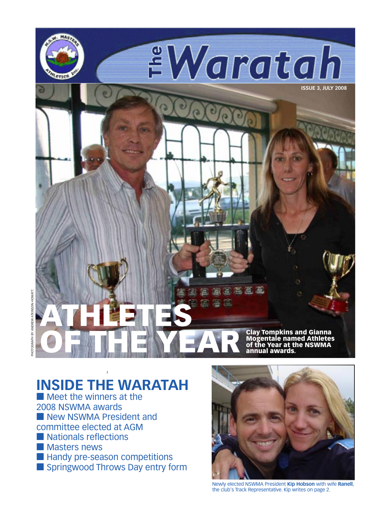

# **INSIDE THE WARATAH**

■ Meet the winners at the 2008 NSWMA awards ■ New NSWMA President and committee elected at AGM ■ Nationals reflections ■ Masters news ■ Handy pre-season competitions ■ Springwood Throws Day entry form



Newly elected NSWMA President **Kip Hobson** with wife **Ranell**, the club's Track Representative. Kip writes on page 2.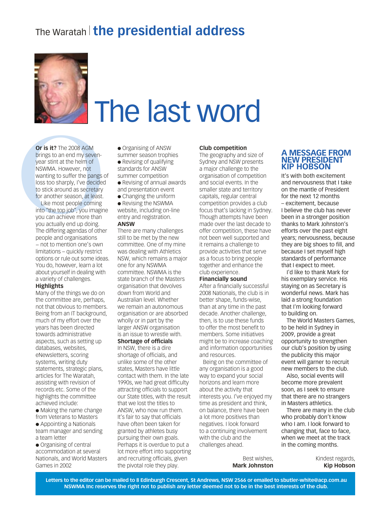# The Waratah<sup>|</sup> **the presidential address**



# The last word

**Or is it?** The 2008 AGM<br>brings to an end my seven-<br>year stint at the helm of<br>NSWMA. However, not<br>wanting to suffer the pangs c<br>loss too sharply, I've decided<br>to stick around as secretary<br>for another season, at least.<br>Like **Or is it?** The 2008 AGM brings to an end my sevenyear stint at the helm of NSWMA. However, not wanting to suffer the pangs of loss too sharply, I've decided to stick around as secretary for another season, at least.

Like most people coming into "the top job", you imagine you can achieve more than you actually end up doing. The differing agendas of other people and organisations − not to mention one's own limitations – quickly restrict options or rule out some ideas. You do, however, learn a lot about yourself in dealing with a variety of challenges.

#### **Highlights**

Many of the things we do on the committee are, perhaps, not that obvious to members. Being from an IT background, much of my effort over the years has been directed towards administrative aspects, such as setting up databases, websites, eNewsletters, scoring systems, writing duty statements, strategic plans, articles for The Waratah, assisting with revision of records etc. Some of the highlights the committee achieved include:

● Making the name change from Veterans to Masters ● Appointing a Nationals team manager and sending a team letter

● Organising of central accommodation at several Nationals, and World Masters Games in 2002

● Organising of ANSW

summer season trophies ● Revising of qualifying standards for ANSW

- summer competition ● Revising of annual awards
- and presentation event
- Changing the uniform

#### ● Revising the NSWMA website, including on-line entry and registration.

#### **ANSW**

There are many challenges still to be met by the new committee. One of my mine was dealing with Athletics NSW, which remains a major one for any NSWMA committee. NSWMA is the state branch of the Masters organisation that devolves down from World and Australian level. Whether we remain an autonomous organisation or are absorbed wholly or in part by the larger ANSW organisation is an issue to wrestle with. **Shortage of officials**

# In NSW, there is a dire

shortage of officials, and unlike some of the other states, Masters have little contact with them. In the late 1990s, we had great difficulty attracting officials to support our State titles, with the result that we lost the titles to ANSW, who now run them. It's fair to say that officials have often been taken for granted by athletes busy pursuing their own goals. Perhaps it is overdue to put a lot more effort into supporting and recruiting officials, given the pivotal role they play.

#### **Club competition**

The geography and size of Sydney and NSW presents a major challenge to the organisation of competition and social events. In the smaller state and territory capitals, regular central competition provides a club focus that's lacking in Sydney. Though attempts have been made over the last decade to offer competition, these have not been well supported and it remains a challenge to provide activities that serve as a focus to bring people together and enhance the club experience.

#### **Financially sound**

After a financially successful 2008 Nationals, the club is in better shape, funds-wise, than at any time in the past decade. Another challenge, then, is to use these funds to offer the most benefit to members. Some initiatives might be to increase coaching and information opportunities and resources.

Being on the committee of any organisation is a good way to expand your social horizons and learn more about the activity that interests you. I've enjoyed my time as president and think, on balance, there have been a lot more positives than negatives. I look forward to a continuing involvement with the club and the challenges ahead.

> Best wishes, **Mark Johnston**

#### **A MESSAGE FROM NEW PRESIDENT KIP HOBSON**

It's with both excitement and nervousness that I take on the mantle of President for the next 12 months – excitement, because I believe the club has never been in a stronger position thanks to Mark Johnston's efforts over the past eight years; nervousness, because they are big shoes to fill, and because I set myself high standards of performance that I expect to meet.

I'd like to thank Mark for his exemplary service. His staying on as Secretary is wonderful news. Mark has laid a strong foundation that I'm looking forward to building on.

The World Masters Games, to be held in Sydney in 2009, provide a great opportunity to strengthen our club's position by using the publicity this major event will garner to recruit new members to the club.

Also, social events will become more prevalent soon, as I seek to ensure that there are no strangers in Masters athletics.

There are many in the club who probably don't know who I am. I look forward to changing that, face to face, when we meet at the track in the coming months.

> Kindest regards, **Kip Hobson**

**Letters to the editor can be mailed to 8 Edinburgh Crescent, St Andrews, NSW 2566 or emailed to sbutler-white@acp.com.au NSWMA Inc reserves the right not to publish any letter deemed not to be in the best interests of the club.**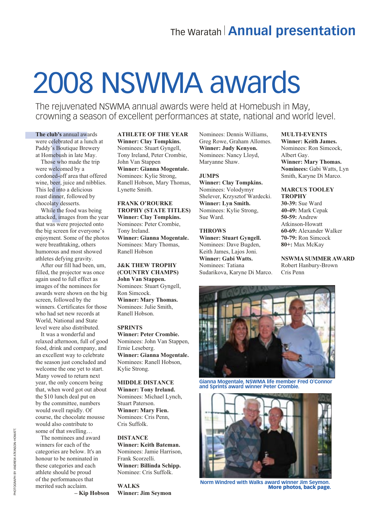# 2008 NSWMA awards

The rejuvenated NSWMA annual awards were held at Homebush in May, crowning a season of excellent performances at state, national and world level.

#### **The club's** annual awards

were celebrated at a lunch at Paddy's Boutique Brewery at Homebush in late May.

The club's annual away were celebrated at a lun<br>Paddy's Boutique Brew<br>at Homebush in late Ma<br>Those who made the<br>were welcomed by a<br>cordoned-off area that c<br>wine, beer, juice and ni<br>This led into a delicious<br>roast dinner, f Those who made the trip were welcomed by a cordoned-off area that offered wine, beer, juice and nibblies. This led into a delicious roast dinner, followed by chocolaty desserts.

While the food was being attacked, images from the year that was were projected onto the big screen for everyone's enjoyment. Some of the photos were breathtaking, others humorous and most showed athletes defying gravity.

After our fill had been, um, filled, the projector was once again used to full effect as images of the nominees for awards were shown on the big screen, followed by the winners. Certificates for those who had set new records at World, National and State level were also distributed.

It was a wonderful and relaxed afternoon, full of good food, drink and company, and an excellent way to celebrate the season just concluded and welcome the one yet to start. Many vowed to return next year, the only concern being that, when word got out about the \$10 lunch deal put on by the committee, numbers would swell rapidly. Of course, the chocolate mousse would also contribute to some of that swelling… The nominees and award

winners for each of the categories are below. It's an honour to be nominated in these categories and each athlete should be proud of the performances that merited such acclaim.

**– Kip Hobson**

#### **ATHLETE OF THE YEAR Winner: Clay Tompkins.** Nominees: Stuart Gyngell, Tony Ireland, Peter Crombie, John Van Stappen **Winner: Gianna Mogentale.** Nominees: Kylie Strong,

Ranell Hobson, Mary Thomas, Lynette Smith.

#### **FRANK O'ROURKE TROPHY (STATE TITLES) Winner: Clay Tompkins.** Nominees: Peter Crombie, Tony Ireland. **Winner: Gianna Mogentale.** Nominees: Mary Thomas, Ranell Hobson

**J&K THEW TROPHY (COUNTRY CHAMPS) John Van Stappen.** Nominees: Stuart Gyngell, Ron Simcock. **Winner: Mary Thomas.** Nominees: Julie Smith, Ranell Hobson.

#### **SPRINTS**

**Winner: Peter Crombie.** Nominees: John Van Stappen, Ernie Leseberg. **Winner: Gianna Mogentale.** Nominees: Ranell Hobson, Kylie Strong.

#### **MIDDLE DISTANCE**

**Winner: Tony Ireland.** Nominees: Michael Lynch, Stuart Paterson. **Winner: Mary Fien.** Nominees: Cris Penn, Cris Suffolk.

#### **DISTANCE**

**Winner: Keith Bateman.** Nominees: Jamie Harrison, Frank Scorzelli. **Winner: Billinda Schipp.** Nominee: Cris Suffolk.

**WALKS Winner: Jim Seymon** Nominees: Dennis Williams, Greg Rowe, Graham Allomes. **Winner: Judy Kenyon.** Nominees: Nancy Lloyd, Maryanne Shaw.

#### **JUMPS**

**Winner: Clay Tompkins.** Nominees: Volodymyr Shelever, Krzysztof Wardecki. **Winner: Lyn Smith.** Nominees: Kylie Strong, Sue Ward.

#### **THROWS**

**Winner: Stuart Gyngell.** Nominees: Dave Bugden, Keith James, Lajos Joni. **Winner: Gabi Watts.** Nominees: Tatiana Sudarikova, Karyne Di Marco.



**MULTI-EVENTS Winner: Keith James.** Nominees: Ron Simcock,

**Winner: Mary Thomas. Nominees:** Gabi Watts, Lyn Smith, Karyne Di Marco.

**MARCUS TOOLEY** 

Albert Gay.

**TROPHY 30-39:** Sue Ward **40-49:** Mark Cepak **50-59:** Andrew Atkinson-Howatt **60-69:** Alexander Walker **70-79:** Ron Simcock



**Gianna Mogentale, NSWMA life member Fred O'Connor and Sprints award winner Peter Crombie.**



**Norm Windred with Walks award winner Jim Seymon.** More photos, back page.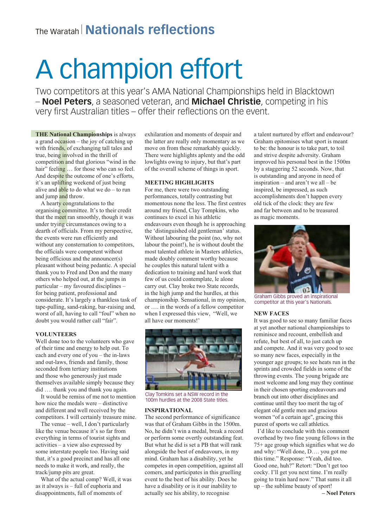# The Waratah <sup>|</sup>**Nationals reflections**

# A champion effort

Two competitors at this year's AMA National Championships held in Blacktown – **Noel Peters**, a seasoned veteran, and **Michael Christie**, competing in his very first Australian titles – offer their reflections on the event.

**THE National Champio**<br>a grand occasion – the joy<br>with friends, of exchangit<br>true, being involved in the<br>competition and that glori<br>hair" feeling ... for those<br>And despite the outcome<br>it's an uplifting weekend<br>alive and ab **THE National Championships** is always a grand occasion – the joy of catching up with friends, of exchanging tall tales and true, being involved in the thrill of competition and that glorious "wind in the hair" feeling ... for those who can so feel. And despite the outcome of one's efforts, it's an uplifting weekend of just being alive and able to do what we do – to run and jump and throw.

A hearty congratulations to the organising committee. It's to their credit that the meet ran smoothly, though it was under trying circumstances owing to a dearth of officials. From my perspective, the events were run efficiently and without any consternation to competitors. the officials were competent without being officious and the announcer(s) pleasant without being pedantic. A special thank you to Fred and Don and the many others who helped out, at the jumps in particular – my favoured disciplines – for being patient, professional and considerate. It's largely a thankless task of tape-pulling, sand-raking, bar-raising and, worst of all, having to call "foul" when no doubt you would rather call "fair".

#### **VOLUNTEERS**

Well done too to the volunteers who gave of their time and energy to help out. To each and every one of you – the in-laws and out-laws, friends and family, those seconded from tertiary institutions and those who generously just made themselves available simply because they did …. thank you and thank you again.

It would be remiss of me not to mention how nice the medals were – distinctive and different and well received by the competitors. I will certainly treasure mine.

The venue – well, I don't particularly like the venue because it's so far from everything in terms of tourist sights and activities – a view also expressed by some interstate people too. Having said that, it's a good precinct and has all one needs to make it work, and really, the track/jump pits are great.

What of the actual comp? Well, it was as it always is – full of euphoria and disappointments, full of moments of

exhilaration and moments of despair and the latter are really only momentary as we move on from these remarkably quickly. There were highlights aplenty and the odd lowlights owing to injury, but that's part of the overall scheme of things in sport.

#### **MEETING HIGHLIGHTS**

For me, there were two outstanding performances, totally contrasting but momentous none the less. The first centres around my friend, Clay Tompkins, who continues to excel in his athletic endeavours even though he is approaching the 'distinguished old gentleman' status. Without labouring the point (no, why not labour the point!), he is without doubt the most talented athlete in Masters athletics, made doubly comment worthy because he couples this natural talent with a dedication to training and hard work that few of us could contemplate, le alone carry out. Clay broke two State records, in the high jump and the hurdles, at this championship. Sensational, in my opinion, or …. in the words of a fellow competitor when I expressed this view, "Well, we all have our moments!'



Clay Tomkins set a NSW record in the 100m hurdles at the 2008 State titles.

#### **INSPIRATIONAL**

The second performance of significance was that of Graham Gibbs in the 1500m. No, he didn't win a medal, break a record or perform some overtly outstanding feat. But what he did is set a PB that will rank alongside the best of endeavours, in my mind. Graham has a disability, yet he competes in open competition, against all comers, and participates in this gruelling event to the best of his ability. Does he have a disability or is it our inability to actually see his ability, to recognise

a talent nurtured by effort and endeavour? Graham epitomises what sport is meant to be: the honour is to take part, to toil and strive despite adversity. Graham improved his personal best in the 1500m by a staggering 52 seconds. Now, that is outstanding and anyone in need of inspiration – and aren't we all – be inspired, be impressed, as such accomplishments don't happen every old tick of the clock: they are few and far between and to be treasured as magic moments.



Graham Gibbs proved an inspirational competitor at this year's Nationals.

#### **NEW FACES**

It was good to see so many familiar faces at yet another national championships to reminisce and recount, embellish and refute, but best of all, to just catch up and compete. And it was very good to see so many new faces, especially in the younger age groups; to see heats run in the sprints and crowded fields in some of the throwing events. The young brigade are most welcome and long may they continue in their chosen sporting endeavours and branch out into other disciplines and continue until they too merit the tag of elegant old gentle men and gracious women "of a certain age", gracing this purest of sports we call athletics.

I'd like to conclude with this comment overhead by two fine young fellows in the 75+ age group which signifies what we do and why: "Well done, D…. you got me this time." Response: "Yeah, did too. Good one, huh?" Retort: "Don't get too cocky. I'll get you next time. I'm really going to train hard now." That sums it all up – the sublime beauty of sport!

**– Noel Peters**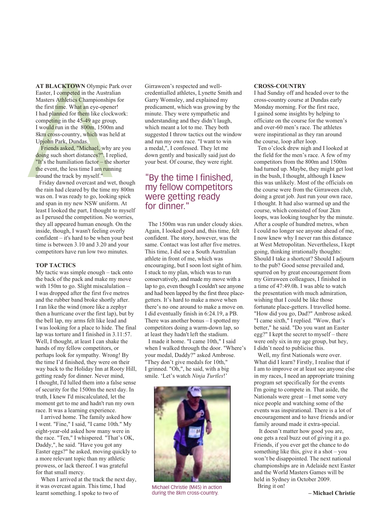**AT BLACKTOWN** Olympic P<br>Easter, I competed in the Austral<br>Masters Athletics Championship<br>the first time. What an eye-open<br>I had planned for them like clock<br>competing in the 45-49 age grou<br>I would run in the 800m, 1500m<br>8 **AT BLACKTOWN** Olympic Park over Easter, I competed in the Australian Masters Athletics Championships for the first time. What an eye-opener! I had planned for them like clockwork: competing in the 45-49 age group, I would run in the 800m, 1500m and 8km cross-country, which was held at Upjohn Park, Dundas.

Friends asked, "Michael, why are you doing such short distances?". I replied, "It's the humiliation factor – the shorter the event, the less time I am running around the track by myself."

Friday dawned overcast and wet, though the rain had cleared by the time my 800m was on. I was ready to go, looking spick and span in my new NSW uniform. At least I looked the part, I thought to myself as I perused the competition. No worries, they all appeared human enough. On the inside, though, I wasn't feeling overly confident – it's hard to be when your best time is between 3.10 and 3.20 and your competitors have run low two minutes.

#### **TOP TACTICS**

My tactic was simple enough – tack onto the back of the pack and make my move with 150m to go. Slight miscalulation – I was dropped after the first five metres and the rubber band broke shortly after. I ran like the wind (more like a zephyr then a hurricane over the first lap), but by the bell lap, my arms felt like lead and I was looking for a place to hide. The final lap was torture and I finished in 3.11:57. Well, I thought, at least I can shake the hands of my fellow competitors, or perhaps look for sympathy. Wrong! By the time I'd finished, they were on their way back to the Holiday Inn at Rooty Hill, getting ready for dinner. Never mind, I thought, I'd lulled them into a false sense of security for the 1500m the next day. In truth, I knew I'd miscalculated, let the moment get to me and hadn't run my own race. It was a learning experience.

I arrived home. The family asked how I went. "Fine," I said, "I came 10th." My eight-year-old asked how many were in the race. "Ten," I whispered. "That's OK, Daddy,", he said. "Have you got any Easter eggs?" he asked, moving quickly to a more relevant topic than my athletic prowess, or lack thereof. I was grateful for that small mercy.

When I arrived at the track the next day, it was overcast again. This time, I had learnt something. I spoke to two of

Girraween's respected and wellcredentialled athletes, Lynette Smith and Garry Womsley, and explained my predicament, which was growing by the minute. They were sympathetic and understanding and they didn't laugh, which meant a lot to me. They both suggested I throw tactics out the window and run my own race. "I want to win a medal,", I confessed. They let me down gently and basically said just do your best. Of course, they were right.

## "By the time I finished, my fellow competitors were getting ready for dinner."

The 1500m was run under cloudy skies. Again, I looked good and, this time, felt confident. The story, however, was the same. Contact was lost after five metres. This time, I did see a South Australian athlete in front of me, which was encouraging, but I soon lost sight of him. I stuck to my plan, which was to run conservatively, and made my move with a lap to go, even though I couldn't see anyone and had been lapped by the first three placegetters. It's hard to make a move when there's no one around to make a move on. I did eventually finish in 6:24.19, a PB. There was another bonus  $-$  I spotted my competitors doing a warm-down lap, so at least they hadn't left the stadium. I made it home. "I came 10th," I said when I walked through the door. "Where's your medal, Daddy?" asked Ambrose. "They don't give medals for 10th," I grinned. "Oh,", he said, with a big smile. 'Let's watch *Ninja Turtles*!'



Michael Christie (M45) in action during the 8km cross-country.

#### **CROSS-COUNTRY**

I had Sunday off and headed over to the cross-country course at Dundas early Monday morning. For the first race, I gained some insights by helping to officiate on the course for the women's and over-60 men's race. The athletes were inspirational as they ran around the course, loop after loop.

Ten o'clock drew nigh and I looked at the field for the men's race. A few of my competitors from the 800m and 1500m had turned up. Maybe, they might get lost in the bush, I thought, although I knew this was unlikely. Most of the officials on the course were from the Girraween club, doing a great job. Just run your own race, I thought. It had also warmed up and the course, which consisted of four 2km loops, was looking tougher by the minute. After a couple of hundred metres, when I could no longer see anyone ahead of me, I now knew why I never ran this distance at West Metropolitan. Nevertheless, I kept going, thinking irrationally thoughts: Should I take a shortcut? Should I adjourn to the pub? Good sense prevailed and, spurred on by great encouragement from my Girraween colleagues, I finished in a time of 47:49.0h. I was able to watch the presentation with much admiration, wishing that I could be like those fortunate place-getters. I travelled home. "How did you go, Dad?" Ambrose asked. "I came sixth," I replied. "Wow, that's better," he said. "Do you want an Easter egg?" I kept the secret to myself – there were only six in my age group, but hey, I didn't need to publicise this.

Well, my first Nationals were over. What did I learn? Firstly, I realise that if I am to improve or at least see anyone else in my races, I need an appropriate training program set specifically for the events I'm going to compete in. That aside, the Nationals were great – I met some very nice people and watching some of the events was inspirational. There is a lot of encouragement and to have friends and/or family around made it extra-special.

 It doesn't matter how good you are, one gets a real buzz out of giving it a go. Friends, if you ever get the chance to do something like this, give it a shot – you won't be disappointed. The next national championships are in Adelaide next Easter and the World Masters Games will be held in Sydney in October 2009. Bring it on!

**– Michael Christie**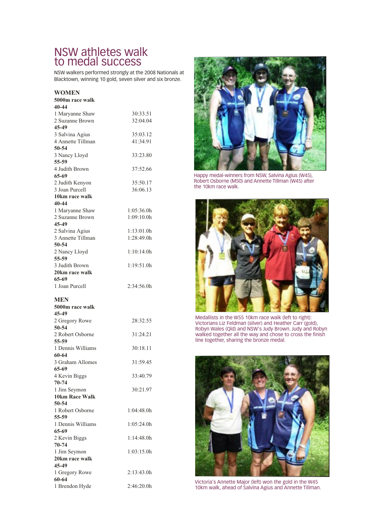## NSW athletes walk to medal success

NSW walkers performed strongly at the 2008 Nationals at Blacktown, winning 10 gold, seven silver and six bronze.

#### **WOMEN**

| WUMEN                                 |            |
|---------------------------------------|------------|
| 5000m race walk                       |            |
| 40-44                                 |            |
| 1 Maryanne Shaw                       | 30:33.51   |
| 2 Suzanne Brown                       | 32:04.04   |
| 45-49                                 |            |
| 3 Salvina Agius                       | 35:03.12   |
| 4 Annette Tillman                     | 41:34.91   |
| 50-54                                 |            |
| 3 Nancy Lloyd<br>55-59                | 33:23.80   |
| 4 Judith Brown<br>65-69               | 37:52.66   |
| 2 Judith Kenyon                       | 35:50.17   |
| 3 Joan Purcell                        | 36:06.13   |
| 10km race walk                        |            |
| 40-44                                 |            |
| 1 Maryanne Shaw                       | 1:05:36.0h |
| 2 Suzanne Brown                       | 1:09:10.0h |
| 45-49                                 |            |
| 2 Salvina Agius                       | 1:13:01.0h |
| 3 Annette Tillman                     | 1:28:49.0h |
| 50-54                                 |            |
| 2 Nancy Lloyd                         | 1:10:14.0h |
| 55-59                                 |            |
| 3 Judith Brown                        | 1:19:51.0h |
| 20km race walk                        |            |
| 65-69                                 |            |
| 1 Joan Purcell                        | 2:34:56.0h |
| MEN                                   |            |
| 5000m race walk                       |            |
| 45-49                                 |            |
| 2 Gregory Rowe                        | 28:32.55   |
| 50-54                                 |            |
| 2 Robert Osborne                      | 31:24.21   |
| 55-59                                 |            |
| 1 Dennis Williams                     | 30:18.11   |
| 60-64                                 |            |
|                                       |            |
| 3 Graham Allomes                      | 31:59.45   |
| 65-69                                 |            |
|                                       | 33:40.79   |
| 4 Kevin Biggs<br>$70 - 74$            |            |
|                                       | 30:21.97   |
| 1 Jim Seymon<br><b>10km Race Walk</b> |            |
| 50-54                                 |            |
| 1 Robert Osborne                      | 1:04:48.0h |
| 55-59                                 |            |
| 1 Dennis Williams                     | 1:05:24.0h |
| 65-69                                 |            |
| 2 Kevin Biggs                         | 1:14:48.0h |
| $70 - 74$                             |            |
| 1 Jim Seymon                          | 1:03:15.0h |
| 20km race walk                        |            |
| 45-49                                 |            |
| 1 Gregory Rowe                        | 2:13:43.0h |
| 60-64<br>1 Brendon Hyde               |            |



Happy medal-winners from NSW, Salvina Agius (W45), Robert Osborne (M50) and Annette Tillman (W45) after the 10km race walk.



Medallists in the W55 10km race walk (left to right): Victorians Liz Feldman (silver) and Heather Carr (gold), Robyn Wales (Qld) and NSW's Judy Brown. Judy and Robyn walked together all the way and chose to cross the finish line together, sharing the bronze medal.



Victoria's Annette Major (left) won the gold in the W45 10km walk, ahead of Salvina Agius and Annette Tillman.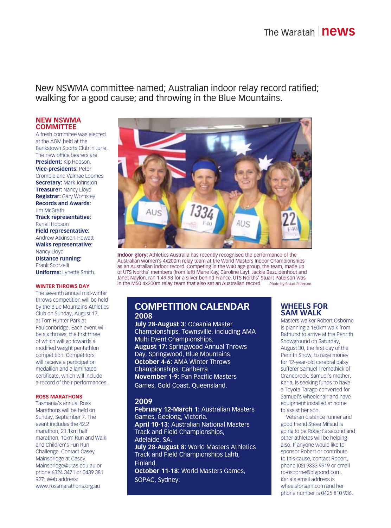New NSWMA committee named; Australian indoor relay record ratified; walking for a good cause; and throwing in the Blue Mountains.

#### **NEW NSWMA COMMITTEE**

A fresh commitee was elected at the AGM held at the Bankstown Sports Club in June. The new office bearers are: **President:** Kip Hobson. **Vice-presidents:** Peter Crombie and Valmae Loomes **Secretary:** Mark Johnston **Treasurer:** Nancy Lloyd **Registrar:** Gary Womsley **Records and Awards: Jim McGrath Track representative:** Ranell Hobson **Field representative:** Andrew Atkinson-Howatt **Walks representative:** Nancy Lloyd **Distance running:**  Frank Scorzelli **Uniforms:** Lynette Smith.

#### **WINTER THROWS DAY**

The seventh annual mid-winter throws competition will be held by the Blue Mountains Athletics Club on Sunday, August 17, at Tom Hunter Park at Faulconbridge. Each event will be six throws, the first three of which will go towards a modified weight pentathlon competition. Competitors will receive a participation medallion and a laminated certificate, which will include a record of their performances.

#### **ROSS MARATHONS**

Tasmania's annual Ross Marathons will be held on Sunday, September 7. The event includes the 42.2 marathon, 21.1km half marathon, 10km Run and Walk and Children's Fun Run Challenge. Contact Casey Mainsbridge at Casey. Mainsbridge@utas.edu.au or phone 6324 3471 or 0439 381 927. Web address: www.rossmarathons.org.au



**Indoor glory:** Athletics Australia has recently recognised the performance of the Australian women's 4x200m relay team at the World Masters Indoor Championships as an Australian indoor record. Competing in the W40 age group, the team, made up of UTS Norths' members (from left) Marie Kay, Caroline Layt, Jackie Bezuidenhout and Janet Naylon, ran 1:49.98 for a silver behind France. UTS Norths' Stuart Paterson was in the M50 4x200m relay team that also set an Australian record. Photo by Stuart Paterson.

#### **COMPETITION CALENDAR 2008**

**July 28-August 3:** Oceania Master Championships, Townsville, including AMA Multi Event Championships. **August 17:** Springwood Annual Throws Day, Springwood, Blue Mountains. **October 4-6:** AMA Winter Throws Championships, Canberra. **November 1-9:** Pan Pacific Masters Games, Gold Coast, Queensland.

#### **2009**

**February 12-March 1:** Australian Masters Games, Geelong, Victoria. **April 10-13:** Australian National Masters Track and Field Championships, Adelaide, SA. **July 28-August 8:** World Masters Athletics Track and Field Championships Lahti, Finland. **October 11-18:** World Masters Games, SOPAC, Sydney.

#### **WHEELS FOR SAM WALK**

Masters walker Robert Osborne is planning a 160km walk from Bathurst to arrive at the Penrith Showground on Saturday, August 30, the first day of the Penrith Show, to raise money for 12-year-old cerebral palsy sufferer Samuel Tremethick of Cranebrook. Samuel's mother, Karla, is seeking funds to have a Toyota Tarago converted for Samuel's wheelchair and have equipment installed at home to assist her son.

Veteran distance runner and good friend Steve Mifsud is going to be Robert's second and other athletes will be helping also. If anyone would like to sponsor Robert or contribute to this cause, contact Robert, phone (02) 9833 9919 or email rc-osborne@bigpond.com. Karla's email address is wheelsforsam.com and her phone number is 0425 810 936.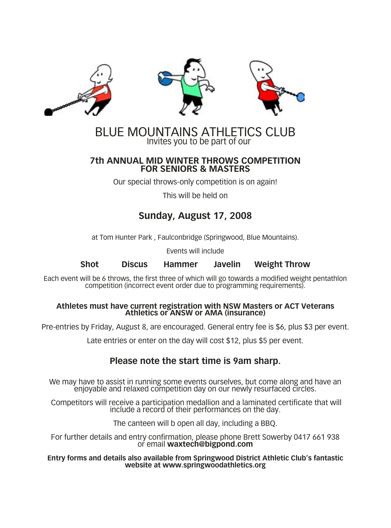





## BLUE MOUNTAINS ATHLETICS CLUB Invites you to be part of our

### **7th ANNUAL MID WINTER THROWS COMPETITION FOR SENIORS & MASTERS**

Our special throws-only competition is on again!

This will be held on

# **Sunday, August 17, 2008**

at Tom Hunter Park , Faulconbridge (Springwood, Blue Mountains).

Events will include

**Shot Discus Hammer Javelin Weight Throw**

Each event will be 6 throws, the first three of which will go towards a modified weight pentathlon competition (incorrect event order due to programming requirements).

# **Athletes must have current registration with NSW Masters or ACT Veterans Athletics or ANSW or AMA (insurance)**

Pre-entries by Friday, August 8, are encouraged. General entry fee is \$6, plus \$3 per event.

Late entries or enter on the day will cost \$12, plus \$5 per event.

## **Please note the start time is 9am sharp.**

We may have to assist in running some events ourselves, but come along and have an enjoyable and relaxed competition day on our newly resurfaced circles.

Competitors will receive a participation medallion and a laminated certificate that will include a record of their performances on the day.

The canteen will b open all day, including a BBQ.

For further details and entry confirmation, please phone Brett Sowerby 0417 661 938 or email **waxtech@bigpond.com**

**Entry forms and details also available from Springwood District Athletic Club's fantastic website at www.springwoodathletics.org**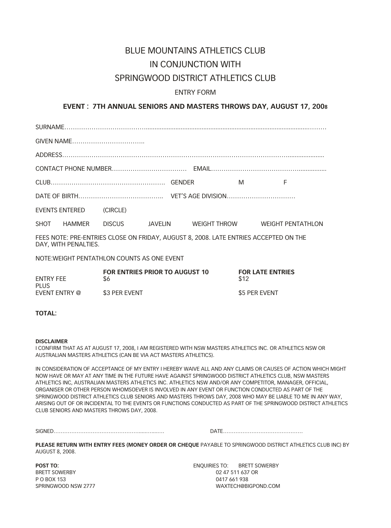# BLUE MOUNTAINS ATHLETICS CLUB IN CONJUNCTION WITH

## SPRINGWOOD DISTRICT ATHLETICS CLUB

### ENTRY FORM

### **EVENT : 7TH ANNUAL SENIORS AND MASTERS THROWS DAY, AUGUST 17, 2008**

|                                                                                                              |                         |                                |  |  |  | M | E                                                         |  |
|--------------------------------------------------------------------------------------------------------------|-------------------------|--------------------------------|--|--|--|---|-----------------------------------------------------------|--|
|                                                                                                              |                         |                                |  |  |  |   |                                                           |  |
|                                                                                                              | EVENTS ENTERED (CIRCLE) |                                |  |  |  |   |                                                           |  |
|                                                                                                              |                         |                                |  |  |  |   | SHOT HAMMER DISCUS JAVELIN WEIGHT THROW WEIGHT PENTATHLON |  |
| FEES NOTE: PRE-ENTRIES CLOSE ON FRIDAY, AUGUST 8, 2008. LATE ENTRIES ACCEPTED ON THE<br>DAY, WITH PENALTIES. |                         |                                |  |  |  |   |                                                           |  |
| NOTE: WEIGHT PENTATHLON COUNTS AS ONE EVENT                                                                  |                         |                                |  |  |  |   |                                                           |  |
|                                                                                                              |                         | FOR ENTRIES PRIOR TO AUGUST 10 |  |  |  |   | <b>FOR LATE ENTRIES</b>                                   |  |

| <b>ENTRY FEE</b> | TURENTREJ HRUR TU AUUUJI TU | I VIV LATE ENTINI |  |
|------------------|-----------------------------|-------------------|--|
| PI US            | S6                          | \$12              |  |
| EVENT ENTRY @    | \$3 PER EVENT               | \$5 PER EVENT     |  |

#### **TOTAL:**

#### **DISCLAIMER**

I CONFIRM THAT AS AT AUGUST 17, 2008, I AM REGISTERED WITH NSW MASTERS ATHLETICS INC. OR ATHLETICS NSW OR AUSTRALIAN MASTERS ATHLETICS (CAN BE VIA ACT MASTERS ATHLETICS).

IN CONSIDERATION OF ACCEPTANCE OF MY ENTRY I HEREBY WAIVE ALL AND ANY CLAIMS OR CAUSES OF ACTION WHICH MIGHT NOW HAVE OR MAY AT ANY TIME IN THE FUTURE HAVE AGAINST SPRINGWOOD DISTRICT ATHLETICS CLUB, NSW MASTERS ATHLETICS INC, AUSTRALIAN MASTERS ATHLETICS INC. ATHLETICS NSW AND/OR ANY COMPETITOR, MANAGER, OFFICIAL, ORGANISER OR OTHER PERSON WHOMSOEVER IS INVOLVED IN ANY EVENT OR FUNCTION CONDUCTED AS PART OF THE SPRINGWOOD DISTRICT ATHLETICS CLUB SENIORS AND MASTERS THROWS DAY, 2008 WHO MAY BE LIABLE TO ME IN ANY WAY, ARISING OUT OF OR INCIDENTAL TO THE EVENTS OR FUNCTIONS CONDUCTED AS PART OF THE SPRINGWOOD DISTRICT ATHLETICS CLUB SENIORS AND MASTERS THROWS DAY, 2008.

SIGNED………………………………………….....…....…. DATE………………………………………

**PLEASE RETURN WITH ENTRY FEES (MONEY ORDER OR CHEQUE** PAYABLE TO SPRINGWOOD DISTRICT ATHLETICS CLUB INC) BY AUGUST 8, 2008.

P O BOX 153 0417 661 938

**POST TO: ENDUIRIES TO: BRETT SOWERBY** BRETT SOWERBY **02 47 511 637 OR** SPRINGWOOD NSW 2777 WAXTECH@BIGPOND.COM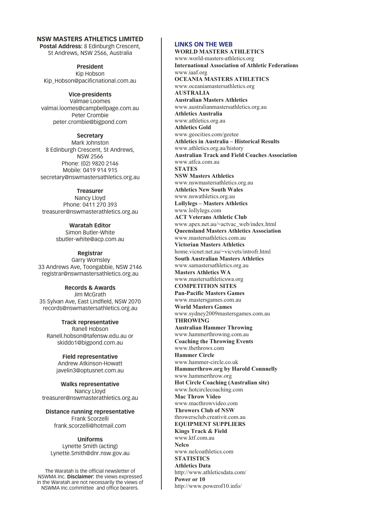#### **NSW MASTERS ATHLETICS LIMITED Postal Address:** 8 Edinburgh Crescent,

St Andrews, NSW 2566, Australia

**President** Kip Hobson Kip\_Hobson@pacificnational.com.au

**Vice-presidents** Valmae Loomes valmai.loomes@campbellpage.com.au Peter Crombie peter.crombie@bigpond.com

**Secretary** Mark Johnston 8 Edinburgh Crescent, St Andrews, NSW 2566 Phone: (02) 9820 2146 Mobile: 0419 914 915 secretary@nswmastersathletics.org.au

**Treasurer** Nancy Lloyd Phone: 0411 270 393 treasurer@nswmasterathletics.org.au

> **Waratah Editor** Simon Butler-White sbutler-white@acp.com.au

**Registrar** Garry Womsley 33 Andrews Ave, Toongabbie, NSW 2146 registrar@nswmastersathletics.org.au

**Records & Awards** Jim McGrath 35 Sylvan Ave, East Lindfield, NSW 2070 records@nswmastersathletics.org.au

**Track representative** Ranell Hobson Ranell.hobson@tafensw.edu.au or skiddo1@bigpond.com.au

> **Field representative** Andrew Atkinson-Howatt javelin3@optusnet.com.au

**Walks representative** Nancy Lloyd treasurer@nswmasterathletics.org.au

**Distance running representative** Frank Scorzelli frank.scorzelli@hotmail.com

**Uniforms** Lynette Smith (acting) Lynette.Smith@dnr.nsw.gov.au

The Waratah is the official newsletter of NSWMA Inc. **Disclaimer:** the views expressed in the Waratah are not necessarily the views of NSWMA Inc.committee and office bearers.

## **LINKS ON THE WEB**

**WORLD MASTERS ATHLETICS** www.world-masters-athletics.org **International Association of Athletic Federations** www.iaaf.org **OCEANIA MASTERS ATHLETICS** www.oceaniamastersathletics.org **AUSTRALIA Australian Masters Athletics** www.australianmastersathletics.org.au **Athletics Australia** www.athletics.org.au **Athletics Gold** www.geocities.com/geetee **Athletics in Australia – Historical Results** www.athletics.org.au/history **Australian Track and Field Coaches Association** www.atfca.com.au **STATES NSW Masters Athletics** www.nswmastersathletics.org.au **Athletics New South Wales** www.nswathletics.org.au **Lollylegs – Masters Athletics** www.lollylegs.com **ACT Veterans Athletic Club** www.apex.net.au/~actvac\_web/index.html **Queensland Masters Athletics Association** www.mastersathletics.com.au **Victorian Masters Athletics** home.vicnet.net.au/~vicvets/introfr.html **South Australian Masters Athletics** www.samastersathletics.org.au **Masters Athletics WA** www.mastersathleticswa.org **COMPETITION SITES Pan-Pacific Masters Games** www.mastersgames.com.au **World Masters Games** www.sydney2009mastersgames.com.au **THROWING Australian Hammer Throwing** www.hammerthrowing.com.au **Coaching the Throwing Events** www.thethrows.com **Hammer Circle** www.hammer-circle.co.uk **Hammerthrow.org by Harold Connnelly** www.hammerthrow.org **Hot Circle Coaching (Australian site)** www.hotcirclecoaching.com **Mac Throw Video** www.macthrowvideo.com **Throwers Club of NSW** throwersclub.creativit.com.au **EQUIPMENT SUPPLIERS Kings Track & Field** www.ktf.com.au **Nelco** www.nelcoathletics.com **STATISTICS Athletics Data** http://www.athleticsdata.com/ **Power or 10** http://www.powerof10.info/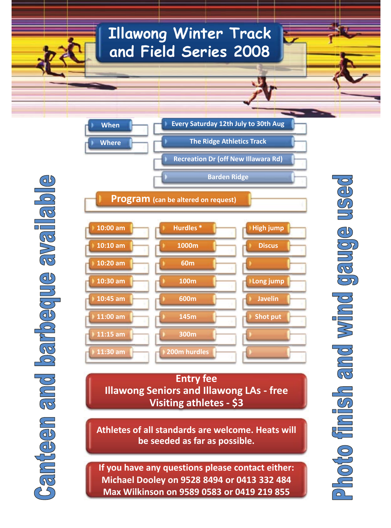